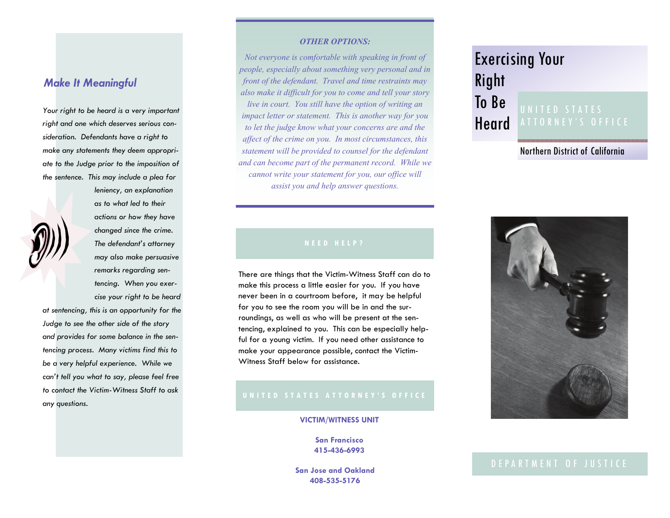# *Make It Meaningful*

*Your right to be heard is a very important right and one which deserves serious consideration. Defendants have a right to make any statements they deem appropriate to the Judge prior to the imposition of the sentence. This may include a plea for* 



*leniency, an explanation as to what led to their actions or how they have changed since the crime. The defendant's attorney may also make persuasive remarks regarding sentencing. When you exercise your right to be heard* 

*at sentencing, this is an opportunity for the Judge to see the other side of the story and provides for some balance in the sentencing process. Many victims find this to be a very helpful experience. While we can't tell you what to say, please feel free to contact the Victim-Witness Staff to ask any questions.* 

#### *OTHER OPTIONS:*

*Not everyone is comfortable with speaking in front of people, especially about something very personal and in front of the defendant. Travel and time restraints may also make it difficult for you to come and tell your story live in court. You still have the option of writing an impact letter or statement. This is another way for you to let the judge know what your concerns are and the affect of the crime on you. In most circumstances, this statement will be provided to counsel for the defendant and can become part of the permanent record. While we cannot write your statement for you, our office will assist you and help answer questions.* 

#### **NEED HELP?**

There are things that the Victim-Witness Staff can do to make this process a little easier for you. If you have never been in a courtroom before, it may be helpful for you to see the room you will be in and the surroundings, as well as who will be present at the sentencing, explained to you. This can be especially helpful for a young victim. If you need other assistance to make your appearance possible, contact the Victim-Witness Staff below for assistance.

#### **VICTIM/WITNESS UNIT**

**San Francisco 415-436-6993** 

**San Jose and Oakland 408-535-5176** 

# Exercising Your Right

### To Be Heard UNITED STATES

Northern District of California



#### DEPARTMENT OF JUSTICE